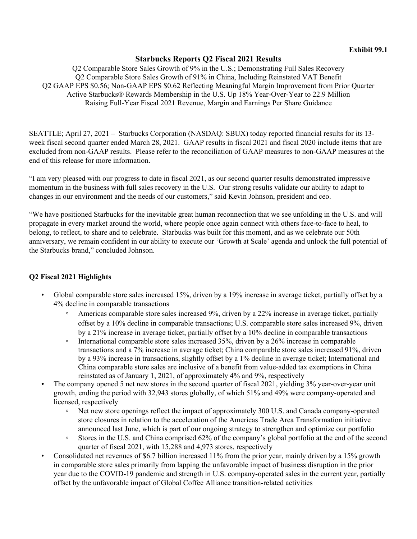### **Starbucks Reports Q2 Fiscal 2021 Results**

Q2 Comparable Store Sales Growth of 9% in the U.S.; Demonstrating Full Sales Recovery Q2 Comparable Store Sales Growth of 91% in China, Including Reinstated VAT Benefit Q2 GAAP EPS \$0.56; Non-GAAP EPS \$0.62 Reflecting Meaningful Margin Improvement from Prior Quarter Active Starbucks® Rewards Membership in the U.S. Up 18% Year-Over-Year to 22.9 Million Raising Full-Year Fiscal 2021 Revenue, Margin and Earnings Per Share Guidance

SEATTLE; April 27, 2021 – Starbucks Corporation (NASDAQ: SBUX) today reported financial results for its 13 week fiscal second quarter ended March 28, 2021. GAAP results in fiscal 2021 and fiscal 2020 include items that are excluded from non-GAAP results. Please refer to the reconciliation of GAAP measures to non-GAAP measures at the end of this release for more information.

"I am very pleased with our progress to date in fiscal 2021, as our second quarter results demonstrated impressive momentum in the business with full sales recovery in the U.S. Our strong results validate our ability to adapt to changes in our environment and the needs of our customers," said Kevin Johnson, president and ceo.

"We have positioned Starbucks for the inevitable great human reconnection that we see unfolding in the U.S. and will propagate in every market around the world, where people once again connect with others face-to-face to heal, to belong, to reflect, to share and to celebrate. Starbucks was built for this moment, and as we celebrate our 50th anniversary, we remain confident in our ability to execute our 'Growth at Scale' agenda and unlock the full potential of the Starbucks brand," concluded Johnson.

## **Q2 Fiscal 2021 Highlights**

- Global comparable store sales increased 15%, driven by a 19% increase in average ticket, partially offset by a 4% decline in comparable transactions
	- Americas comparable store sales increased 9%, driven by a 22% increase in average ticket, partially offset by a 10% decline in comparable transactions; U.S. comparable store sales increased 9%, driven by a 21% increase in average ticket, partially offset by a 10% decline in comparable transactions
	- International comparable store sales increased 35%, driven by a 26% increase in comparable transactions and a 7% increase in average ticket; China comparable store sales increased 91%, driven by a 93% increase in transactions, slightly offset by a 1% decline in average ticket; International and China comparable store sales are inclusive of a benefit from value-added tax exemptions in China reinstated as of January 1, 2021, of approximately 4% and 9%, respectively
- The company opened 5 net new stores in the second quarter of fiscal 2021, yielding 3% year-over-year unit growth, ending the period with 32,943 stores globally, of which 51% and 49% were company-operated and licensed, respectively
	- **◦** Net new store openings reflect the impact of approximately 300 U.S. and Canada company-operated store closures in relation to the acceleration of the Americas Trade Area Transformation initiative announced last June, which is part of our ongoing strategy to strengthen and optimize our portfolio
	- Stores in the U.S. and China comprised 62% of the company's global portfolio at the end of the second quarter of fiscal 2021, with 15,288 and 4,973 stores, respectively
- Consolidated net revenues of \$6.7 billion increased 11% from the prior year, mainly driven by a 15% growth in comparable store sales primarily from lapping the unfavorable impact of business disruption in the prior year due to the COVID-19 pandemic and strength in U.S. company-operated sales in the current year, partially offset by the unfavorable impact of Global Coffee Alliance transition-related activities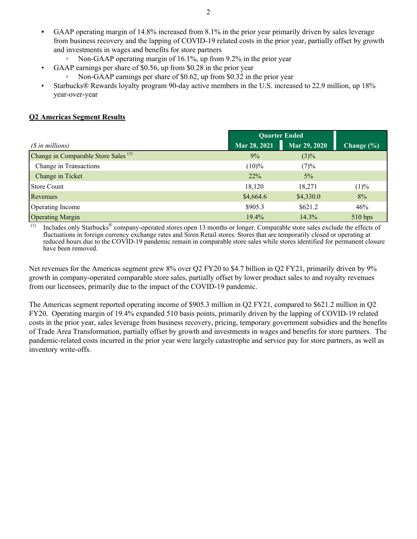- **•** GAAP operating margin of 14.8% increased from 8.1% in the prior year primarily driven by sales leverage from business recovery and the lapping of COVID-19 related costs in the prior year, partially offset by growth and investments in wages and benefits for store partners
	- Non-GAAP operating margin of 16.1%, up from 9.2% in the prior year
- GAAP earnings per share of \$0.56, up from \$0.28 in the prior year
	- Non-GAAP earnings per share of \$0.62, up from \$0.32 in the prior year
- Starbucks® Rewards loyalty program 90-day active members in the U.S. increased to 22.9 million, up 18% year-over-year

### **Q2 Americas Segment Results**

|                                                 | <b>Quarter Ended</b> |              |            |
|-------------------------------------------------|----------------------|--------------|------------|
| (\$ in millions)                                | Mar 28, 2021         | Mar 29, 2020 | Change (%) |
| Change in Comparable Store Sales <sup>(1)</sup> | 9%                   | $(3)\%$      |            |
| Change in Transactions                          | $(10)\%$             | (7)%         |            |
| Change in Ticket                                | $22\%$               | $5\%$        |            |
| Store Count                                     | 18,120               | 18,271       | (1)%       |
| Revenues                                        | \$4,664.6            | \$4,330.0    | 8%         |
| Operating Income                                | \$905.3              | \$621.2      | 46%        |
| <b>Operating Margin</b>                         | $19.4\%$             | 14.3%        | 510 bps    |

 $^{(1)}$  Includes only Starbucks<sup>®</sup> company-operated stores open 13 months or longer. Comparable store sales exclude the effects of fluctuations in foreign currency exchange rates and Siren Retail stores. Stores that are temporarily closed or operating at reduced hours due to the COVID-19 pandemic remain in comparable store sales while stores identified for permanent closure have been removed.

Net revenues for the Americas segment grew 8% over Q2 FY20 to \$4.7 billion in Q2 FY21, primarily driven by 9% growth in company-operated comparable store sales, partially offset by lower product sales to and royalty revenues from our licensees, primarily due to the impact of the COVID-19 pandemic.

The Americas segment reported operating income of \$905.3 million in Q2 FY21, compared to \$621.2 million in Q2 FY20. Operating margin of 19.4% expanded 510 basis points, primarily driven by the lapping of COVID-19 related costs in the prior year, sales leverage from business recovery, pricing, temporary government subsidies and the benefits of Trade Area Transformation, partially offset by growth and investments in wages and benefits for store partners. The pandemic-related costs incurred in the prior year were largely catastrophe and service pay for store partners, as well as inventory write-offs.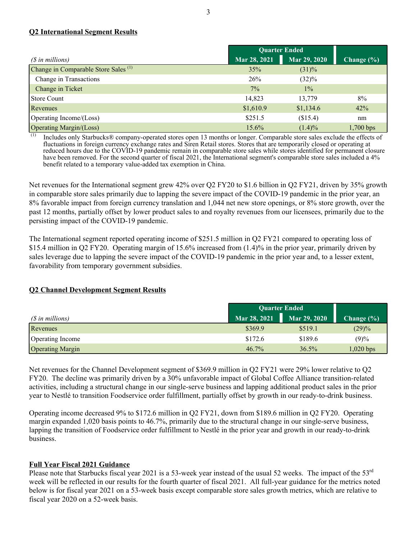### **Q2 International Segment Results**

|                                                 |              | <b>Quarter Ended</b> |                |  |
|-------------------------------------------------|--------------|----------------------|----------------|--|
| $(S$ in millions)                               | Mar 28, 2021 | Mar 29, 2020         | Change $(\% )$ |  |
| Change in Comparable Store Sales <sup>(1)</sup> | 35%          | $(31)\%$             |                |  |
| Change in Transactions                          | 26%          | (32)%                |                |  |
| Change in Ticket                                | 7%           | $1\%$                |                |  |
| Store Count                                     | 14,823       | 13,779               | 8%             |  |
| Revenues                                        | \$1,610.9    | \$1,134.6            | 42%            |  |
| Operating Income/(Loss)                         | \$251.5      | (\$15.4)             | nm             |  |
| Operating Margin/(Loss)                         | 15.6%        | $(1.4)\%$            | $1,700$ bps    |  |

Includes only Starbucks® company-operated stores open 13 months or longer. Comparable store sales exclude the effects of fluctuations in foreign currency exchange rates and Siren Retail stores. Stores that are temporarily closed or operating at reduced hours due to the COVID-19 pandemic remain in comparable store sales while stores identified for permanent closure have been removed. For the second quarter of fiscal 2021, the International segment's comparable store sales included a 4% benefit related to a temporary value-added tax exemption in China.

Net revenues for the International segment grew 42% over Q2 FY20 to \$1.6 billion in Q2 FY21, driven by 35% growth in comparable store sales primarily due to lapping the severe impact of the COVID-19 pandemic in the prior year, an 8% favorable impact from foreign currency translation and 1,044 net new store openings, or 8% store growth, over the past 12 months, partially offset by lower product sales to and royalty revenues from our licensees, primarily due to the persisting impact of the COVID-19 pandemic.

The International segment reported operating income of \$251.5 million in Q2 FY21 compared to operating loss of \$15.4 million in Q2 FY20. Operating margin of 15.6% increased from (1.4)% in the prior year, primarily driven by sales leverage due to lapping the severe impact of the COVID-19 pandemic in the prior year and, to a lesser extent, favorability from temporary government subsidies.

## **Q2 Channel Development Segment Results**

|                         | <b>Quarter Ended</b> |              |                |
|-------------------------|----------------------|--------------|----------------|
| (\$ in millions)        | Mar 28, 2021         | Mar 29, 2020 | Change $(\% )$ |
| Revenues                | \$369.9              | \$519.1      | (29)%          |
| Operating Income        | \$172.6              | \$189.6      | (9)%           |
| <b>Operating Margin</b> | 46.7%                | 36.5%        | $1,020$ bps    |

Net revenues for the Channel Development segment of \$369.9 million in Q2 FY21 were 29% lower relative to Q2 FY20. The decline was primarily driven by a 30% unfavorable impact of Global Coffee Alliance transition-related activities, including a structural change in our single-serve business and lapping additional product sales in the prior year to Nestlé to transition Foodservice order fulfillment, partially offset by growth in our ready-to-drink business.

Operating income decreased 9% to \$172.6 million in Q2 FY21, down from \$189.6 million in Q2 FY20. Operating margin expanded 1,020 basis points to 46.7%, primarily due to the structural change in our single-serve business, lapping the transition of Foodservice order fulfillment to Nestlé in the prior year and growth in our ready-to-drink business.

### **Full Year Fiscal 2021 Guidance**

Please note that Starbucks fiscal year 2021 is a 53-week year instead of the usual 52 weeks. The impact of the  $53<sup>rd</sup>$ week will be reflected in our results for the fourth quarter of fiscal 2021. All full-year guidance for the metrics noted below is for fiscal year 2021 on a 53-week basis except comparable store sales growth metrics, which are relative to fiscal year 2020 on a 52-week basis.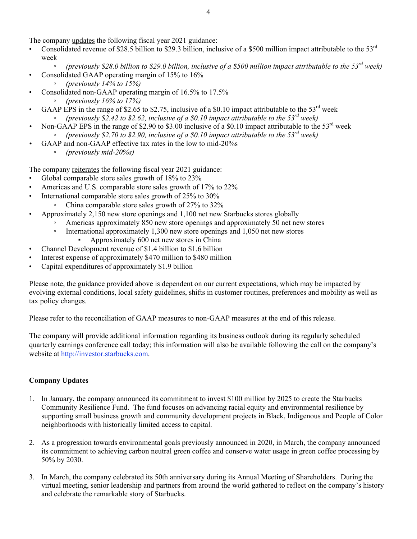The company updates the following fiscal year 2021 guidance:

- Consolidated revenue of \$28.5 billion to \$29.3 billion, inclusive of a \$500 million impact attributable to the  $53<sup>rd</sup>$ week
	- *◦ (previously \$28.0 billion to \$29.0 billion, inclusive of a \$500 million impact attributable to the 53rd week)*
- Consolidated GAAP operating margin of 15% to 16%
	- *◦ (previously 14% to 15%)*
- Consolidated non-GAAP operating margin of 16.5% to 17.5% *◦ (previously 16% to 17%)*
- GAAP EPS in the range of \$2.65 to \$2.75, inclusive of a \$0.10 impact attributable to the  $53^{\text{rd}}$  week
	- *(previously \$2.42 to \$2.62, inclusive of a \$0.10 impact attributable to the 53rd week)*
- Non-GAAP EPS in the range of \$2.90 to \$3.00 inclusive of a \$0.10 impact attributable to the  $53<sup>rd</sup>$  week *◦ (previously \$2.70 to \$2.90, inclusive of a \$0.10 impact attributable to the 53rd week)*
	- *•* GAAP and non-GAAP effective tax rates in the low to mid-20%s
		- *◦ (previously mid-20%s)*

The company reiterates the following fiscal year 2021 guidance:

- Global comparable store sales growth of 18% to 23%
- Americas and U.S. comparable store sales growth of 17% to 22%
- International comparable store sales growth of 25% to 30%
	- China comparable store sales growth of 27% to 32%
- Approximately 2,150 new store openings and 1,100 net new Starbucks stores globally
	- Americas approximately 850 new store openings and approximately 50 net new stores
	- International approximately 1,300 new store openings and 1,050 net new stores
		- Approximately 600 net new stores in China
- Channel Development revenue of \$1.4 billion to \$1.6 billion
- Interest expense of approximately \$470 million to \$480 million
- Capital expenditures of approximately \$1.9 billion

Please note, the guidance provided above is dependent on our current expectations, which may be impacted by evolving external conditions, local safety guidelines, shifts in customer routines, preferences and mobility as well as tax policy changes.

Please refer to the reconciliation of GAAP measures to non-GAAP measures at the end of this release.

The company will provide additional information regarding its business outlook during its regularly scheduled quarterly earnings conference call today; this information will also be available following the call on the company's website at http://investor.starbucks.com.

### **Company Updates**

- 1. In January, the company announced its commitment to invest \$100 million by 2025 to create the Starbucks Community Resilience Fund. The fund focuses on advancing racial equity and environmental resilience by supporting small business growth and community development projects in Black, Indigenous and People of Color neighborhoods with historically limited access to capital.
- 2. As a progression towards environmental goals previously announced in 2020, in March, the company announced its commitment to achieving carbon neutral green coffee and conserve water usage in green coffee processing by 50% by 2030.
- 3. In March, the company celebrated its 50th anniversary during its Annual Meeting of Shareholders. During the virtual meeting, senior leadership and partners from around the world gathered to reflect on the company's history and celebrate the remarkable story of Starbucks.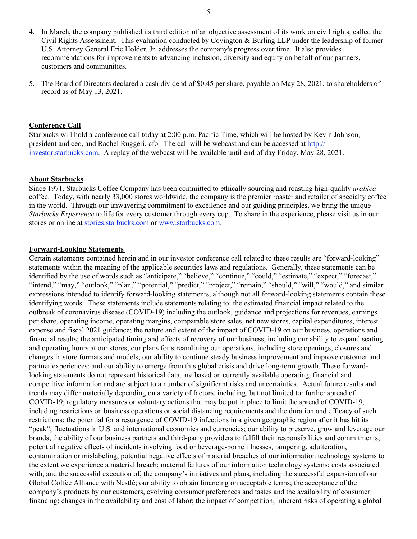- 4. In March, the company published its third edition of an objective assessment of its work on civil rights, called the Civil Rights Assessment. This evaluation conducted by Covington & Burling LLP under the leadership of former U.S. Attorney General Eric Holder, Jr. addresses the company's progress over time. It also provides recommendations for improvements to advancing inclusion, diversity and equity on behalf of our partners, customers and communities.
- 5. The Board of Directors declared a cash dividend of \$0.45 per share, payable on May 28, 2021, to shareholders of record as of May 13, 2021.

#### **Conference Call**

Starbucks will hold a conference call today at 2:00 p.m. Pacific Time, which will be hosted by Kevin Johnson, president and ceo, and Rachel Ruggeri, cfo. The call will be webcast and can be accessed at http:// investor.starbucks.com. A replay of the webcast will be available until end of day Friday, May 28, 2021.

#### **About Starbucks**

Since 1971, Starbucks Coffee Company has been committed to ethically sourcing and roasting high-quality *arabica* coffee. Today, with nearly 33,000 stores worldwide, the company is the premier roaster and retailer of specialty coffee in the world. Through our unwavering commitment to excellence and our guiding principles, we bring the unique *Starbucks Experience* to life for every customer through every cup. To share in the experience, please visit us in our stores or online at stories.starbucks.com or www.starbucks.com.

#### **Forward-Looking Statements**

Certain statements contained herein and in our investor conference call related to these results are "forward-looking" statements within the meaning of the applicable securities laws and regulations. Generally, these statements can be identified by the use of words such as "anticipate," "believe," "continue," "could," "estimate," "expect," "forecast," "intend," "may," "outlook," "plan," "potential," "predict," "project," "remain," "should," "will," "would," and similar expressions intended to identify forward-looking statements, although not all forward-looking statements contain these identifying words. These statements include statements relating to: the estimated financial impact related to the outbreak of coronavirus disease (COVID-19) including the outlook, guidance and projections for revenues, earnings per share, operating income, operating margins, comparable store sales, net new stores, capital expenditures, interest expense and fiscal 2021 guidance; the nature and extent of the impact of COVID-19 on our business, operations and financial results; the anticipated timing and effects of recovery of our business, including our ability to expand seating and operating hours at our stores; our plans for streamlining our operations, including store openings, closures and changes in store formats and models; our ability to continue steady business improvement and improve customer and partner experiences; and our ability to emerge from this global crisis and drive long-term growth. These forwardlooking statements do not represent historical data, are based on currently available operating, financial and competitive information and are subject to a number of significant risks and uncertainties. Actual future results and trends may differ materially depending on a variety of factors, including, but not limited to: further spread of COVID-19; regulatory measures or voluntary actions that may be put in place to limit the spread of COVID-19, including restrictions on business operations or social distancing requirements and the duration and efficacy of such restrictions; the potential for a resurgence of COVID-19 infections in a given geographic region after it has hit its "peak"; fluctuations in U.S. and international economies and currencies; our ability to preserve, grow and leverage our brands; the ability of our business partners and third-party providers to fulfill their responsibilities and commitments; potential negative effects of incidents involving food or beverage-borne illnesses, tampering, adulteration, contamination or mislabeling; potential negative effects of material breaches of our information technology systems to the extent we experience a material breach; material failures of our information technology systems; costs associated with, and the successful execution of, the company's initiatives and plans, including the successful expansion of our Global Coffee Alliance with Nestlé; our ability to obtain financing on acceptable terms; the acceptance of the company's products by our customers, evolving consumer preferences and tastes and the availability of consumer financing; changes in the availability and cost of labor; the impact of competition; inherent risks of operating a global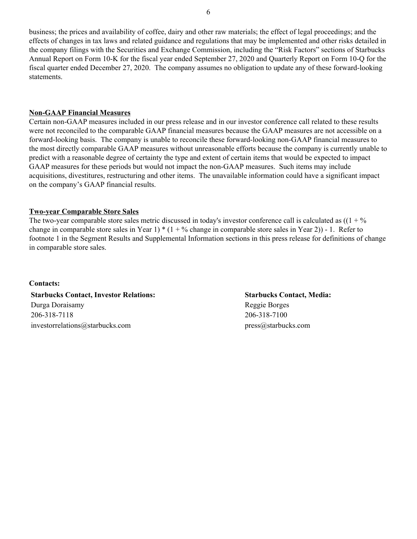business; the prices and availability of coffee, dairy and other raw materials; the effect of legal proceedings; and the effects of changes in tax laws and related guidance and regulations that may be implemented and other risks detailed in the company filings with the Securities and Exchange Commission, including the "Risk Factors" sections of Starbucks Annual Report on Form 10-K for the fiscal year ended September 27, 2020 and Quarterly Report on Form 10-Q for the fiscal quarter ended December 27, 2020. The company assumes no obligation to update any of these forward-looking statements.

### **Non-GAAP Financial Measures**

Certain non-GAAP measures included in our press release and in our investor conference call related to these results were not reconciled to the comparable GAAP financial measures because the GAAP measures are not accessible on a forward-looking basis. The company is unable to reconcile these forward-looking non-GAAP financial measures to the most directly comparable GAAP measures without unreasonable efforts because the company is currently unable to predict with a reasonable degree of certainty the type and extent of certain items that would be expected to impact GAAP measures for these periods but would not impact the non-GAAP measures. Such items may include acquisitions, divestitures, restructuring and other items. The unavailable information could have a significant impact on the company's GAAP financial results.

### **Two-year Comparable Store Sales**

The two-year comparable store sales metric discussed in today's investor conference call is calculated as  $((1 + \%)$ change in comparable store sales in Year 1)  $*(1 + \frac{9}{6})$  change in comparable store sales in Year 2)) - 1. Refer to footnote 1 in the Segment Results and Supplemental Information sections in this press release for definitions of change in comparable store sales.

#### **Contacts:**

**Starbucks Contact, Investor Relations: Starbucks Contact, Media:** Durga Doraisamy Reggie Borges 206-318-7118 206-318-7100 investorrelations@starbucks.com press@starbucks.com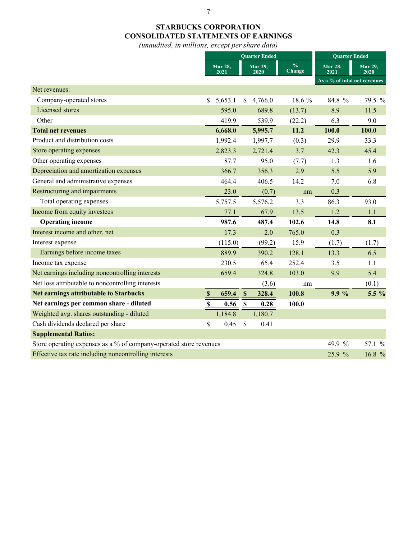# **STARBUCKS CORPORATION CONSOLIDATED STATEMENTS OF EARNINGS**

*(unaudited, in millions, except per share data)*

|                                                                    |             | <b>Ouarter Ended</b> |                           |                        |                         |    | <b>Quarter Ended</b>         |                        |  |
|--------------------------------------------------------------------|-------------|----------------------|---------------------------|------------------------|-------------------------|----|------------------------------|------------------------|--|
|                                                                    |             | Mar 28,<br>2021      |                           | <b>Mar 29,</b><br>2020 | $\frac{0}{0}$<br>Change |    | <b>Mar 28,</b><br>2021       | <b>Mar 29,</b><br>2020 |  |
|                                                                    |             |                      |                           |                        |                         |    | As a % of total net revenues |                        |  |
| Net revenues:                                                      |             |                      |                           |                        |                         |    |                              |                        |  |
| Company-operated stores                                            | \$          | 5,653.1              | $\mathbb{S}$              | 4,766.0                | 18.6 %                  |    | 84.8 %                       | 79.5 %                 |  |
| Licensed stores                                                    |             | 595.0                |                           | 689.8                  | (13.7)                  |    | 8.9                          | 11.5                   |  |
| Other                                                              |             | 419.9                |                           | 539.9                  | (22.2)                  |    | 6.3                          | 9.0                    |  |
| <b>Total net revenues</b>                                          |             | 6,668.0              |                           | 5,995.7                | 11.2                    |    | 100.0                        | 100.0                  |  |
| Product and distribution costs                                     |             | 1,992.4              |                           | 1,997.7                | (0.3)                   |    | 29.9                         | 33.3                   |  |
| Store operating expenses                                           |             | 2,823.3              |                           | 2,721.4                | 3.7                     |    | 42.3                         | 45.4                   |  |
| Other operating expenses                                           |             | 87.7                 |                           | 95.0                   | (7.7)                   |    | 1.3                          | 1.6                    |  |
| Depreciation and amortization expenses                             |             | 366.7                |                           | 356.3                  | 2.9                     |    | 5.5                          | 5.9                    |  |
| General and administrative expenses                                |             | 464.4                |                           | 406.5                  | 14.2                    |    | 7.0                          | 6.8                    |  |
| Restructuring and impairments                                      |             | 23.0                 |                           | (0.7)                  |                         | nm | 0.3                          |                        |  |
| Total operating expenses                                           |             | 5,757.5              |                           | 5,576.2                | 3.3                     |    | 86.3                         | 93.0                   |  |
| Income from equity investees                                       |             | 77.1                 |                           | 67.9                   | 13.5                    |    | 1.2                          | 1.1                    |  |
| <b>Operating income</b>                                            |             | 987.6                |                           | 487.4                  | 102.6                   |    | 14.8                         | 8.1                    |  |
| Interest income and other, net                                     |             | 17.3                 |                           | 2.0                    | 765.0                   |    | 0.3                          |                        |  |
| Interest expense                                                   |             | (115.0)              |                           | (99.2)                 | 15.9                    |    | (1.7)                        | (1.7)                  |  |
| Earnings before income taxes                                       |             | 889.9                |                           | 390.2                  | 128.1                   |    | 13.3                         | 6.5                    |  |
| Income tax expense                                                 |             | 230.5                |                           | 65.4                   | 252.4                   |    | 3.5                          | 1.1                    |  |
| Net earnings including noncontrolling interests                    |             | 659.4                |                           | 324.8                  | 103.0                   |    | 9.9                          | 5.4                    |  |
| Net loss attributable to noncontrolling interests                  |             |                      |                           | (3.6)                  |                         | nm |                              | (0.1)                  |  |
| <b>Net earnings attributable to Starbucks</b>                      | $\mathbb S$ | 659.4                | $\boldsymbol{\mathsf{S}}$ | 328.4                  | 100.8                   |    | 9.9%                         | 5.5 %                  |  |
| Net earnings per common share - diluted                            | $\mathbf S$ | 0.56                 | $\mathbb S$               | 0.28                   | 100.0                   |    |                              |                        |  |
| Weighted avg. shares outstanding - diluted                         |             | 1,184.8              |                           | 1,180.7                |                         |    |                              |                        |  |
| Cash dividends declared per share                                  | \$          | 0.45                 | \$                        | 0.41                   |                         |    |                              |                        |  |
| <b>Supplemental Ratios:</b>                                        |             |                      |                           |                        |                         |    |                              |                        |  |
| Store operating expenses as a % of company-operated store revenues |             |                      |                           |                        |                         |    | 49.9 %                       | 57.1 %                 |  |
| Effective tax rate including noncontrolling interests              |             |                      |                           |                        |                         |    | 25.9 %                       | 16.8 %                 |  |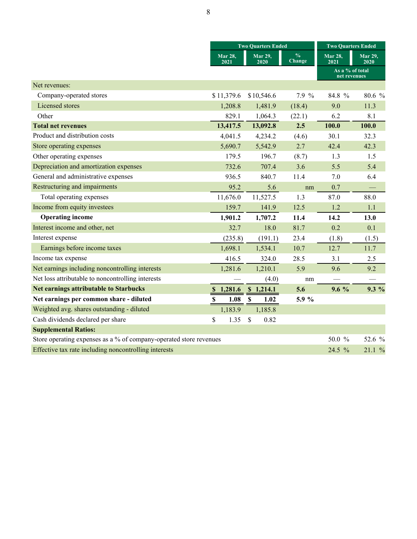|                                                                    |                          | <b>Two Quarters Ended</b> | <b>Two Quarters Ended</b>      |                                 |                        |
|--------------------------------------------------------------------|--------------------------|---------------------------|--------------------------------|---------------------------------|------------------------|
|                                                                    | Mar 28,<br>2021          | Mar 29,<br>2020           | $\frac{0}{6}$<br><b>Change</b> | <b>Mar 28,</b><br>2021          | <b>Mar 29,</b><br>2020 |
|                                                                    |                          |                           |                                | As a % of total<br>net revenues |                        |
| Net revenues:                                                      |                          |                           |                                |                                 |                        |
| Company-operated stores                                            | \$11,379.6               | \$10,546.6                | 7.9 %                          | 84.8 %                          | 80.6 %                 |
| <b>Licensed</b> stores                                             | 1,208.8                  | 1,481.9                   | (18.4)                         | 9.0                             | 11.3                   |
| Other                                                              | 829.1                    | 1,064.3                   | (22.1)                         | 6.2                             | 8.1                    |
| <b>Total net revenues</b>                                          | 13,417.5                 | 13,092.8                  | 2.5                            | 100.0                           | 100.0                  |
| Product and distribution costs                                     | 4,041.5                  | 4,234.2                   | (4.6)                          | 30.1                            | 32.3                   |
| Store operating expenses                                           | 5,690.7                  | 5,542.9                   | 2.7                            | 42.4                            | 42.3                   |
| Other operating expenses                                           | 179.5                    | 196.7                     | (8.7)                          | 1.3                             | 1.5                    |
| Depreciation and amortization expenses                             | 732.6                    | 707.4                     | 3.6                            | 5.5                             | 5.4                    |
| General and administrative expenses                                | 936.5                    | 840.7                     | 11.4                           | 7.0                             | 6.4                    |
| Restructuring and impairments                                      | 95.2                     | 5.6                       | nm                             | 0.7                             |                        |
| Total operating expenses                                           | 11,676.0                 | 11,527.5                  | 1.3                            | 87.0                            | 88.0                   |
| Income from equity investees                                       | 159.7                    | 141.9                     | 12.5                           | 1.2                             | 1.1                    |
| <b>Operating income</b>                                            | 1,901.2                  | 1,707.2                   | 11.4                           | 14.2                            | 13.0                   |
| Interest income and other, net                                     | 32.7                     | 18.0                      | 81.7                           | 0.2                             | 0.1                    |
| Interest expense                                                   | (235.8)                  | (191.1)                   | 23.4                           | (1.8)                           | (1.5)                  |
| Earnings before income taxes                                       | 1,698.1                  | 1,534.1                   | 10.7                           | 12.7                            | 11.7                   |
| Income tax expense                                                 | 416.5                    | 324.0                     | 28.5                           | 3.1                             | 2.5                    |
| Net earnings including noncontrolling interests                    | 1,281.6                  | 1,210.1                   | 5.9                            | 9.6                             | 9.2                    |
| Net loss attributable to noncontrolling interests                  |                          | (4.0)                     | nm                             |                                 |                        |
| <b>Net earnings attributable to Starbucks</b>                      | 1,281.6<br><sup>\$</sup> | \$1,214.1                 | 5.6                            | $9.6\%$                         | $9.3\%$                |
| Net earnings per common share - diluted                            | 1.08<br>$\mathbb S$      | $\mathbb S$<br>1.02       | 5.9 %                          |                                 |                        |
| Weighted avg. shares outstanding - diluted                         | 1,183.9                  | 1,185.8                   |                                |                                 |                        |
| Cash dividends declared per share                                  | \$<br>1.35               | $\mathcal{S}$<br>0.82     |                                |                                 |                        |
| <b>Supplemental Ratios:</b>                                        |                          |                           |                                |                                 |                        |
| Store operating expenses as a % of company-operated store revenues |                          |                           |                                | 50.0 %                          | 52.6 %                 |
| Effective tax rate including noncontrolling interests              |                          |                           |                                | 24.5 %                          | 21.1%                  |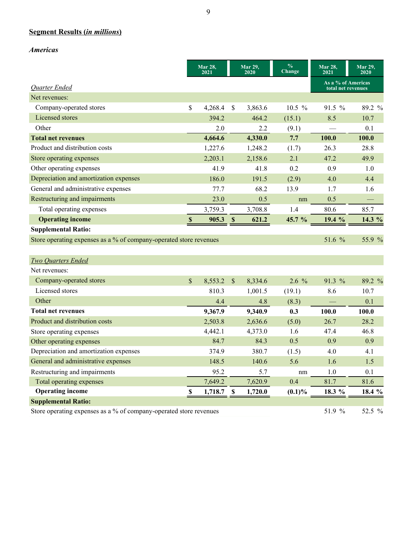# **Segment Results (***in millions***)**

*Americas*

|                                                                    |                           | Mar 28,<br>2021 |                           | Mar 29,<br>2020 | $\frac{0}{0}$<br>Change | Mar 28,<br>2021                          | Mar 29,<br>2020 |
|--------------------------------------------------------------------|---------------------------|-----------------|---------------------------|-----------------|-------------------------|------------------------------------------|-----------------|
| <b>Quarter Ended</b>                                               |                           |                 |                           |                 |                         | As a % of Americas<br>total net revenues |                 |
| Net revenues:                                                      |                           |                 |                           |                 |                         |                                          |                 |
| Company-operated stores                                            | \$                        | 4,268.4         | \$                        | 3,863.6         | $10.5 \%$               | $91.5 \%$                                | 89.2 %          |
| Licensed stores                                                    |                           | 394.2           |                           | 464.2           | (15.1)                  | 8.5                                      | 10.7            |
| Other                                                              |                           | 2.0             |                           | 2.2             | (9.1)                   |                                          | 0.1             |
| <b>Total net revenues</b>                                          |                           | 4,664.6         |                           | 4,330.0         | 7.7                     | 100.0                                    | 100.0           |
| Product and distribution costs                                     |                           | 1,227.6         |                           | 1,248.2         | (1.7)                   | 26.3                                     | 28.8            |
| Store operating expenses                                           |                           | 2,203.1         |                           | 2,158.6         | 2.1                     | 47.2                                     | 49.9            |
| Other operating expenses                                           |                           | 41.9            |                           | 41.8            | 0.2                     | 0.9                                      | 1.0             |
| Depreciation and amortization expenses                             |                           | 186.0           |                           | 191.5           | (2.9)                   | 4.0                                      | 4.4             |
| General and administrative expenses                                |                           | 77.7            |                           | 68.2            | 13.9                    | 1.7                                      | 1.6             |
| Restructuring and impairments                                      |                           | 23.0            |                           | 0.5             | nm                      | 0.5                                      |                 |
| Total operating expenses                                           |                           | 3,759.3         |                           | 3,708.8         | 1.4                     | 80.6                                     | 85.7            |
| <b>Operating income</b>                                            | $\boldsymbol{\mathsf{S}}$ | 905.3           | $\mathbf S$               | 621.2           | 45.7 %                  | 19.4 %                                   | 14.3 %          |
| <b>Supplemental Ratio:</b>                                         |                           |                 |                           |                 |                         |                                          |                 |
| Store operating expenses as a % of company-operated store revenues |                           |                 |                           |                 |                         | 51.6 %                                   | 55.9 %          |
|                                                                    |                           |                 |                           |                 |                         |                                          |                 |
| <b>Two Quarters Ended</b>                                          |                           |                 |                           |                 |                         |                                          |                 |
| Net revenues:                                                      |                           |                 |                           |                 |                         |                                          |                 |
| Company-operated stores                                            | $\mathbf{\hat{S}}$        | 8,553.2         | $\boldsymbol{\mathsf{S}}$ | 8,334.6         | 2.6 %                   | 91.3 %                                   | 89.2 %          |
| Licensed stores                                                    |                           | 810.3           |                           | 1,001.5         | (19.1)                  | 8.6                                      | 10.7            |
| Other                                                              |                           | 4.4             |                           | 4.8             | (8.3)                   |                                          | 0.1             |
| <b>Total net revenues</b>                                          |                           | 9,367.9         |                           | 9,340.9         | 0.3                     | 100.0                                    | 100.0           |
| Product and distribution costs                                     |                           | 2,503.8         |                           | 2,636.6         | (5.0)                   | 26.7                                     | 28.2            |
| Store operating expenses                                           |                           | 4,442.1         |                           | 4,373.0         | 1.6                     | 47.4                                     | 46.8            |
| Other operating expenses                                           |                           | 84.7            |                           | 84.3            | 0.5                     | 0.9                                      | 0.9             |
| Depreciation and amortization expenses                             |                           | 374.9           |                           | 380.7           | (1.5)                   | 4.0                                      | 4.1             |
| General and administrative expenses                                |                           | 148.5           |                           | 140.6           | 5.6                     | 1.6                                      | 1.5             |
| Restructuring and impairments                                      |                           | 95.2            |                           | 5.7             | nm                      | 1.0                                      | 0.1             |
| Total operating expenses                                           |                           | 7,649.2         |                           | 7,620.9         | 0.4                     | 81.7                                     | 81.6            |
| <b>Operating income</b>                                            | \$                        | 1,718.7         | S                         | 1,720.0         | $(0.1)\%$               | 18.3 %                                   | 18.4 %          |
| <b>Supplemental Ratio:</b>                                         |                           |                 |                           |                 |                         |                                          |                 |
| Store operating expenses as a % of company-operated store revenues |                           |                 |                           |                 |                         | 51.9 %                                   | 52.5 %          |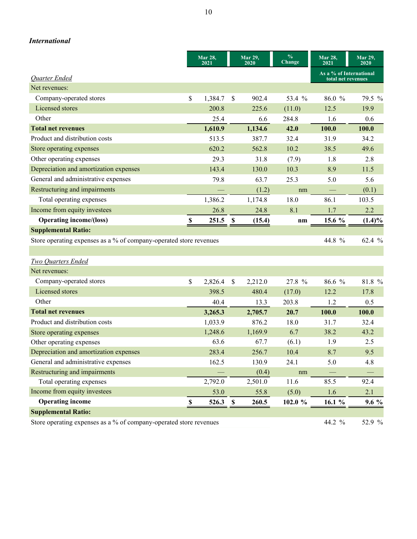|                                                                    |                           | <b>Mar 28,</b> |               | <b>Mar 29,</b> | $\frac{0}{6}$  | Mar 28,                                       | <b>Mar 29,</b> |
|--------------------------------------------------------------------|---------------------------|----------------|---------------|----------------|----------------|-----------------------------------------------|----------------|
|                                                                    |                           | 2021           |               | 2020           | Change         | 2021                                          | 2020           |
| <b>Quarter Ended</b>                                               |                           |                |               |                |                | As a % of International<br>total net revenues |                |
| Net revenues:                                                      |                           |                |               |                |                |                                               |                |
| Company-operated stores                                            | \$                        | 1,384.7        | \$            | 902.4          | 53.4 %         | 86.0 %                                        | 79.5 %         |
| Licensed stores                                                    |                           | 200.8          |               | 225.6          | (11.0)         | 12.5                                          | 19.9           |
| Other                                                              |                           | 25.4           |               | 6.6            | 284.8          | 1.6                                           | 0.6            |
| <b>Total net revenues</b>                                          |                           | 1,610.9        |               | 1,134.6        | 42.0           | 100.0                                         | 100.0          |
| Product and distribution costs                                     |                           | 513.5          |               | 387.7          | 32.4           | 31.9                                          | 34.2           |
| Store operating expenses                                           |                           | 620.2          |               | 562.8          | 10.2           | 38.5                                          | 49.6           |
| Other operating expenses                                           |                           | 29.3           |               | 31.8           | (7.9)          | 1.8                                           | 2.8            |
| Depreciation and amortization expenses                             |                           | 143.4          |               | 130.0          | 10.3           | 8.9                                           | 11.5           |
| General and administrative expenses                                |                           | 79.8           |               | 63.7           | 25.3           | 5.0                                           | 5.6            |
| Restructuring and impairments                                      |                           |                |               | (1.2)          | nm             |                                               | (0.1)          |
| Total operating expenses                                           |                           | 1,386.2        |               | 1,174.8        | 18.0           | 86.1                                          | 103.5          |
| Income from equity investees                                       |                           | 26.8           |               | 24.8           | 8.1            | 1.7                                           | 2.2            |
| <b>Operating income/(loss)</b>                                     | $\boldsymbol{\mathsf{S}}$ | 251.5          | $\mathbf S$   | (15.4)         | n <sub>m</sub> | 15.6 %                                        | $(1.4)\%$      |
| <b>Supplemental Ratio:</b>                                         |                           |                |               |                |                |                                               |                |
| Store operating expenses as a % of company-operated store revenues |                           |                |               |                |                | 44.8 %                                        | 62.4 %         |
|                                                                    |                           |                |               |                |                |                                               |                |
| <b>Two Quarters Ended</b>                                          |                           |                |               |                |                |                                               |                |
| Net revenues:                                                      |                           |                |               |                |                |                                               |                |
| Company-operated stores                                            | $\mathsf{\$}$             | 2,826.4        | $\mathsf{\$}$ | 2,212.0        | 27.8 %         | 86.6 %                                        | 81.8 %         |
| Licensed stores                                                    |                           | 398.5          |               | 480.4          | (17.0)         | 12.2                                          | 17.8           |
| Other                                                              |                           | 40.4           |               | 13.3           | 203.8          | 1.2                                           | 0.5            |
| <b>Total net revenues</b>                                          |                           | 3,265.3        |               | 2,705.7        | 20.7           | 100.0                                         | 100.0          |
| Product and distribution costs                                     |                           | 1,033.9        |               | 876.2          | 18.0           | 31.7                                          | 32.4           |
| Store operating expenses                                           |                           | 1,248.6        |               | 1,169.9        | 6.7            | 38.2                                          | 43.2           |
| Other operating expenses                                           |                           | 63.6           |               | 67.7           | (6.1)          | 1.9                                           | 2.5            |
| Depreciation and amortization expenses                             |                           | 283.4          |               | 256.7          | 10.4           | 8.7                                           | 9.5            |
| General and administrative expenses                                |                           | 162.5          |               | 130.9          | 24.1           | 5.0                                           | 4.8            |
| Restructuring and impairments                                      |                           |                |               | (0.4)          | nm             |                                               |                |
| Total operating expenses                                           |                           | 2,792.0        |               | 2,501.0        | 11.6           | 85.5                                          | 92.4           |

Income from equity investees 53.0 55.8 (5.0) 1.6 2.1

**Operating income 8 526.3 \$ 260.5 102.0 % 16.1 % 9.6 %** 

*International*

**Supplemental Ratio:**

Store operating expenses as a % of company-operated store revenues 44.2 % 52.9 %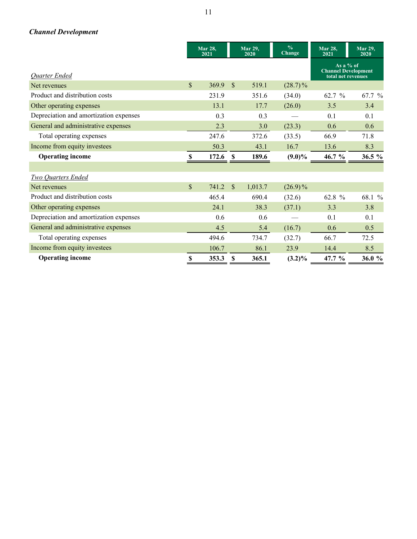# *Channel Development*

|                                        |              | <b>Mar 28,</b><br>2021 |              | <b>Mar 29,</b><br>2020 | $\frac{0}{0}$<br>Change | <b>Mar 28.</b><br>2021                                          | Mar 29,<br>2020 |
|----------------------------------------|--------------|------------------------|--------------|------------------------|-------------------------|-----------------------------------------------------------------|-----------------|
| <b>Quarter Ended</b>                   |              |                        |              |                        |                         | As a $%$ of<br><b>Channel Development</b><br>total net revenues |                 |
| Net revenues                           | $\mathbb{S}$ | 369.9                  | $\mathbb{S}$ | 519.1                  | $(28.7)\%$              |                                                                 |                 |
| Product and distribution costs         |              | 231.9                  |              | 351.6                  | (34.0)                  | 62.7 %                                                          | 67.7 %          |
| Other operating expenses               |              | 13.1                   |              | 17.7                   | (26.0)                  | 3.5                                                             | 3.4             |
| Depreciation and amortization expenses |              | 0.3                    |              | 0.3                    |                         | 0.1                                                             | 0.1             |
| General and administrative expenses    |              | 2.3                    |              | 3.0                    | (23.3)                  | 0.6                                                             | 0.6             |
| Total operating expenses               |              | 247.6                  |              | 372.6                  | (33.5)                  | 66.9                                                            | 71.8            |
| Income from equity investees           |              | 50.3                   |              | 43.1                   | 16.7                    | 13.6                                                            | 8.3             |
| <b>Operating income</b>                | \$           | 172.6                  | S            | 189.6                  | $(9.0)\%$               | $46.7 \%$                                                       | 36.5 %          |
|                                        |              |                        |              |                        |                         |                                                                 |                 |
| Two Quarters Ended                     |              |                        |              |                        |                         |                                                                 |                 |
| Net revenues                           | $\mathbb{S}$ | 741.2                  | $\mathbb{S}$ | 1,013.7                | $(26.9)\%$              |                                                                 |                 |
| Product and distribution costs         |              | 465.4                  |              | 690.4                  | (32.6)                  | 62.8 %                                                          | 68.1 %          |
| Other operating expenses               |              | 24.1                   |              | 38.3                   | (37.1)                  | 3.3                                                             | 3.8             |
| Depreciation and amortization expenses |              | 0.6                    |              | 0.6                    |                         | 0.1                                                             | 0.1             |
| General and administrative expenses    |              | 4.5                    |              | 5.4                    | (16.7)                  | 0.6                                                             | 0.5             |
| Total operating expenses               |              | 494.6                  |              | 734.7                  | (32.7)                  | 66.7                                                            | 72.5            |
| Income from equity investees           |              | 106.7                  |              | 86.1                   | 23.9                    | 14.4                                                            | 8.5             |
| <b>Operating income</b>                | \$           | 353.3                  | S            | 365.1                  | $(3.2)\%$               | 47.7 %                                                          | 36.0 $%$        |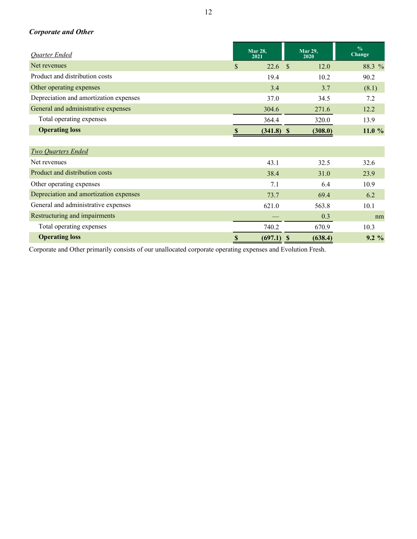# *Corporate and Other*

| <b>Quarter Ended</b>                   |      | <b>Mar 28,</b><br>2021 |               | <b>Mar 29,</b><br>2020 | $\frac{0}{0}$<br><b>Change</b> |
|----------------------------------------|------|------------------------|---------------|------------------------|--------------------------------|
| Net revenues                           | \$   | 22.6                   | $\mathcal{S}$ | 12.0                   | 88.3 %                         |
| Product and distribution costs         |      | 19.4                   |               | 10.2                   | 90.2                           |
| Other operating expenses               |      | 3.4                    |               | 3.7                    | (8.1)                          |
| Depreciation and amortization expenses |      | 37.0                   |               | 34.5                   | 7.2                            |
| General and administrative expenses    |      | 304.6                  |               | 271.6                  | 12.2                           |
| Total operating expenses               |      | 364.4                  |               | 320.0                  | 13.9                           |
| <b>Operating loss</b>                  | S    | $(341.8)$ \$           |               | (308.0)                | 11.0%                          |
|                                        |      |                        |               |                        |                                |
| <b>Two Quarters Ended</b>              |      |                        |               |                        |                                |
| Net revenues                           |      | 43.1                   |               | 32.5                   | 32.6                           |
| Product and distribution costs         |      | 38.4                   |               | 31.0                   | 23.9                           |
| Other operating expenses               |      | 7.1                    |               | 6.4                    | 10.9                           |
| Depreciation and amortization expenses |      | 73.7                   |               | 69.4                   | 6.2                            |
| General and administrative expenses    |      | 621.0                  |               | 563.8                  | 10.1                           |
| Restructuring and impairments          |      |                        |               | 0.3                    | nm                             |
| Total operating expenses               |      | 740.2                  |               | 670.9                  | 10.3                           |
| <b>Operating loss</b>                  | $\$$ | (697.1)                | S             | (638.4)                | $9.2\%$                        |

Corporate and Other primarily consists of our unallocated corporate operating expenses and Evolution Fresh.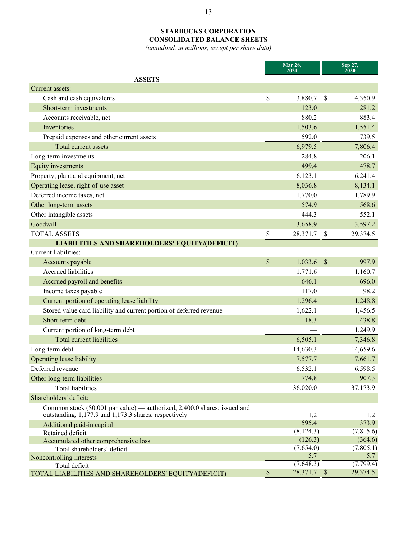## **STARBUCKS CORPORATION CONSOLIDATED BALANCE SHEETS**

*(unaudited, in millions, except per share data)*

| Sep 27,<br>2020<br><b>ASSETS</b><br>Current assets:<br>\$<br>Cash and cash equivalents<br>3,880.7<br><sup>\$</sup><br>4,350.9<br>Short-term investments<br>123.0<br>281.2<br>883.4<br>Accounts receivable, net<br>880.2<br>1,503.6<br>1,551.4<br>Inventories<br>Prepaid expenses and other current assets<br>592.0<br>739.5<br>Total current assets<br>6,979.5<br>7,806.4<br>Long-term investments<br>284.8<br>206.1<br>499.4<br>478.7<br>Equity investments<br>Property, plant and equipment, net<br>6,123.1<br>6,241.4<br>Operating lease, right-of-use asset<br>8,036.8<br>8,134.1<br>Deferred income taxes, net<br>1,770.0<br>1,789.9<br>Other long-term assets<br>574.9<br>568.6<br>Other intangible assets<br>552.1<br>444.3<br>Goodwill<br>3,658.9<br>3,597.2<br>\$<br><b>TOTAL ASSETS</b><br>29,374.5<br>28,371.7<br>$\mathbb{S}$<br><b>LIABILITIES AND SHAREHOLDERS' EQUITY/(DEFICIT)</b><br>Current liabilities:<br>\$<br>$\mathcal{S}$<br>1,033.6<br>997.9<br>Accounts payable<br>Accrued liabilities<br>1,771.6<br>1,160.7<br>Accrued payroll and benefits<br>646.1<br>696.0<br>98.2<br>Income taxes payable<br>117.0<br>Current portion of operating lease liability<br>1,296.4<br>1,248.8<br>Stored value card liability and current portion of deferred revenue<br>1,622.1<br>1,456.5<br>Short-term debt<br>18.3<br>438.8<br>Current portion of long-term debt<br>1,249.9<br><b>Total current liabilities</b><br>6,505.1<br>7,346.8<br>Long-term debt<br>14,630.3<br>14,659.6<br><b>Operating lease liability</b><br>7,577.7<br>7,661.7<br>6,532.1<br>6,598.5 |
|------------------------------------------------------------------------------------------------------------------------------------------------------------------------------------------------------------------------------------------------------------------------------------------------------------------------------------------------------------------------------------------------------------------------------------------------------------------------------------------------------------------------------------------------------------------------------------------------------------------------------------------------------------------------------------------------------------------------------------------------------------------------------------------------------------------------------------------------------------------------------------------------------------------------------------------------------------------------------------------------------------------------------------------------------------------------------------------------------------------------------------------------------------------------------------------------------------------------------------------------------------------------------------------------------------------------------------------------------------------------------------------------------------------------------------------------------------------------------------------------------------------------------------------------------------------------------|
|                                                                                                                                                                                                                                                                                                                                                                                                                                                                                                                                                                                                                                                                                                                                                                                                                                                                                                                                                                                                                                                                                                                                                                                                                                                                                                                                                                                                                                                                                                                                                                              |
|                                                                                                                                                                                                                                                                                                                                                                                                                                                                                                                                                                                                                                                                                                                                                                                                                                                                                                                                                                                                                                                                                                                                                                                                                                                                                                                                                                                                                                                                                                                                                                              |
|                                                                                                                                                                                                                                                                                                                                                                                                                                                                                                                                                                                                                                                                                                                                                                                                                                                                                                                                                                                                                                                                                                                                                                                                                                                                                                                                                                                                                                                                                                                                                                              |
|                                                                                                                                                                                                                                                                                                                                                                                                                                                                                                                                                                                                                                                                                                                                                                                                                                                                                                                                                                                                                                                                                                                                                                                                                                                                                                                                                                                                                                                                                                                                                                              |
|                                                                                                                                                                                                                                                                                                                                                                                                                                                                                                                                                                                                                                                                                                                                                                                                                                                                                                                                                                                                                                                                                                                                                                                                                                                                                                                                                                                                                                                                                                                                                                              |
|                                                                                                                                                                                                                                                                                                                                                                                                                                                                                                                                                                                                                                                                                                                                                                                                                                                                                                                                                                                                                                                                                                                                                                                                                                                                                                                                                                                                                                                                                                                                                                              |
|                                                                                                                                                                                                                                                                                                                                                                                                                                                                                                                                                                                                                                                                                                                                                                                                                                                                                                                                                                                                                                                                                                                                                                                                                                                                                                                                                                                                                                                                                                                                                                              |
|                                                                                                                                                                                                                                                                                                                                                                                                                                                                                                                                                                                                                                                                                                                                                                                                                                                                                                                                                                                                                                                                                                                                                                                                                                                                                                                                                                                                                                                                                                                                                                              |
|                                                                                                                                                                                                                                                                                                                                                                                                                                                                                                                                                                                                                                                                                                                                                                                                                                                                                                                                                                                                                                                                                                                                                                                                                                                                                                                                                                                                                                                                                                                                                                              |
|                                                                                                                                                                                                                                                                                                                                                                                                                                                                                                                                                                                                                                                                                                                                                                                                                                                                                                                                                                                                                                                                                                                                                                                                                                                                                                                                                                                                                                                                                                                                                                              |
|                                                                                                                                                                                                                                                                                                                                                                                                                                                                                                                                                                                                                                                                                                                                                                                                                                                                                                                                                                                                                                                                                                                                                                                                                                                                                                                                                                                                                                                                                                                                                                              |
|                                                                                                                                                                                                                                                                                                                                                                                                                                                                                                                                                                                                                                                                                                                                                                                                                                                                                                                                                                                                                                                                                                                                                                                                                                                                                                                                                                                                                                                                                                                                                                              |
|                                                                                                                                                                                                                                                                                                                                                                                                                                                                                                                                                                                                                                                                                                                                                                                                                                                                                                                                                                                                                                                                                                                                                                                                                                                                                                                                                                                                                                                                                                                                                                              |
|                                                                                                                                                                                                                                                                                                                                                                                                                                                                                                                                                                                                                                                                                                                                                                                                                                                                                                                                                                                                                                                                                                                                                                                                                                                                                                                                                                                                                                                                                                                                                                              |
|                                                                                                                                                                                                                                                                                                                                                                                                                                                                                                                                                                                                                                                                                                                                                                                                                                                                                                                                                                                                                                                                                                                                                                                                                                                                                                                                                                                                                                                                                                                                                                              |
|                                                                                                                                                                                                                                                                                                                                                                                                                                                                                                                                                                                                                                                                                                                                                                                                                                                                                                                                                                                                                                                                                                                                                                                                                                                                                                                                                                                                                                                                                                                                                                              |
|                                                                                                                                                                                                                                                                                                                                                                                                                                                                                                                                                                                                                                                                                                                                                                                                                                                                                                                                                                                                                                                                                                                                                                                                                                                                                                                                                                                                                                                                                                                                                                              |
|                                                                                                                                                                                                                                                                                                                                                                                                                                                                                                                                                                                                                                                                                                                                                                                                                                                                                                                                                                                                                                                                                                                                                                                                                                                                                                                                                                                                                                                                                                                                                                              |
|                                                                                                                                                                                                                                                                                                                                                                                                                                                                                                                                                                                                                                                                                                                                                                                                                                                                                                                                                                                                                                                                                                                                                                                                                                                                                                                                                                                                                                                                                                                                                                              |
|                                                                                                                                                                                                                                                                                                                                                                                                                                                                                                                                                                                                                                                                                                                                                                                                                                                                                                                                                                                                                                                                                                                                                                                                                                                                                                                                                                                                                                                                                                                                                                              |
|                                                                                                                                                                                                                                                                                                                                                                                                                                                                                                                                                                                                                                                                                                                                                                                                                                                                                                                                                                                                                                                                                                                                                                                                                                                                                                                                                                                                                                                                                                                                                                              |
|                                                                                                                                                                                                                                                                                                                                                                                                                                                                                                                                                                                                                                                                                                                                                                                                                                                                                                                                                                                                                                                                                                                                                                                                                                                                                                                                                                                                                                                                                                                                                                              |
|                                                                                                                                                                                                                                                                                                                                                                                                                                                                                                                                                                                                                                                                                                                                                                                                                                                                                                                                                                                                                                                                                                                                                                                                                                                                                                                                                                                                                                                                                                                                                                              |
|                                                                                                                                                                                                                                                                                                                                                                                                                                                                                                                                                                                                                                                                                                                                                                                                                                                                                                                                                                                                                                                                                                                                                                                                                                                                                                                                                                                                                                                                                                                                                                              |
|                                                                                                                                                                                                                                                                                                                                                                                                                                                                                                                                                                                                                                                                                                                                                                                                                                                                                                                                                                                                                                                                                                                                                                                                                                                                                                                                                                                                                                                                                                                                                                              |
|                                                                                                                                                                                                                                                                                                                                                                                                                                                                                                                                                                                                                                                                                                                                                                                                                                                                                                                                                                                                                                                                                                                                                                                                                                                                                                                                                                                                                                                                                                                                                                              |
|                                                                                                                                                                                                                                                                                                                                                                                                                                                                                                                                                                                                                                                                                                                                                                                                                                                                                                                                                                                                                                                                                                                                                                                                                                                                                                                                                                                                                                                                                                                                                                              |
|                                                                                                                                                                                                                                                                                                                                                                                                                                                                                                                                                                                                                                                                                                                                                                                                                                                                                                                                                                                                                                                                                                                                                                                                                                                                                                                                                                                                                                                                                                                                                                              |
|                                                                                                                                                                                                                                                                                                                                                                                                                                                                                                                                                                                                                                                                                                                                                                                                                                                                                                                                                                                                                                                                                                                                                                                                                                                                                                                                                                                                                                                                                                                                                                              |
|                                                                                                                                                                                                                                                                                                                                                                                                                                                                                                                                                                                                                                                                                                                                                                                                                                                                                                                                                                                                                                                                                                                                                                                                                                                                                                                                                                                                                                                                                                                                                                              |
| Deferred revenue                                                                                                                                                                                                                                                                                                                                                                                                                                                                                                                                                                                                                                                                                                                                                                                                                                                                                                                                                                                                                                                                                                                                                                                                                                                                                                                                                                                                                                                                                                                                                             |
| 774.8<br>907.3<br>Other long-term liabilities                                                                                                                                                                                                                                                                                                                                                                                                                                                                                                                                                                                                                                                                                                                                                                                                                                                                                                                                                                                                                                                                                                                                                                                                                                                                                                                                                                                                                                                                                                                                |
| 36,020.0<br>37,173.9<br>Total liabilities                                                                                                                                                                                                                                                                                                                                                                                                                                                                                                                                                                                                                                                                                                                                                                                                                                                                                                                                                                                                                                                                                                                                                                                                                                                                                                                                                                                                                                                                                                                                    |
| Shareholders' deficit:                                                                                                                                                                                                                                                                                                                                                                                                                                                                                                                                                                                                                                                                                                                                                                                                                                                                                                                                                                                                                                                                                                                                                                                                                                                                                                                                                                                                                                                                                                                                                       |
| Common stock (\$0.001 par value) — authorized, 2,400.0 shares; issued and                                                                                                                                                                                                                                                                                                                                                                                                                                                                                                                                                                                                                                                                                                                                                                                                                                                                                                                                                                                                                                                                                                                                                                                                                                                                                                                                                                                                                                                                                                    |
| outstanding, 1,177.9 and 1,173.3 shares, respectively<br>1.2<br>1.2                                                                                                                                                                                                                                                                                                                                                                                                                                                                                                                                                                                                                                                                                                                                                                                                                                                                                                                                                                                                                                                                                                                                                                                                                                                                                                                                                                                                                                                                                                          |
| 595.4<br>373.9<br>Additional paid-in capital                                                                                                                                                                                                                                                                                                                                                                                                                                                                                                                                                                                                                                                                                                                                                                                                                                                                                                                                                                                                                                                                                                                                                                                                                                                                                                                                                                                                                                                                                                                                 |
| (8, 124.3)<br>(7,815.6)<br>Retained deficit                                                                                                                                                                                                                                                                                                                                                                                                                                                                                                                                                                                                                                                                                                                                                                                                                                                                                                                                                                                                                                                                                                                                                                                                                                                                                                                                                                                                                                                                                                                                  |
| (126.3)<br>(364.6)<br>Accumulated other comprehensive loss                                                                                                                                                                                                                                                                                                                                                                                                                                                                                                                                                                                                                                                                                                                                                                                                                                                                                                                                                                                                                                                                                                                                                                                                                                                                                                                                                                                                                                                                                                                   |
| (7,805.1)<br>(7,654.0)<br>Total shareholders' deficit                                                                                                                                                                                                                                                                                                                                                                                                                                                                                                                                                                                                                                                                                                                                                                                                                                                                                                                                                                                                                                                                                                                                                                                                                                                                                                                                                                                                                                                                                                                        |
| 5.7<br>5.7<br>Noncontrolling interests<br>(7,648.3)<br>(7,799.4)                                                                                                                                                                                                                                                                                                                                                                                                                                                                                                                                                                                                                                                                                                                                                                                                                                                                                                                                                                                                                                                                                                                                                                                                                                                                                                                                                                                                                                                                                                             |
| Total deficit<br>$28,371.7$ \$<br>29,374.5<br>TOTAL LIABILITIES AND SHAREHOLDERS' EQUITY/(DEFICIT)<br>$\mathcal{P}$                                                                                                                                                                                                                                                                                                                                                                                                                                                                                                                                                                                                                                                                                                                                                                                                                                                                                                                                                                                                                                                                                                                                                                                                                                                                                                                                                                                                                                                          |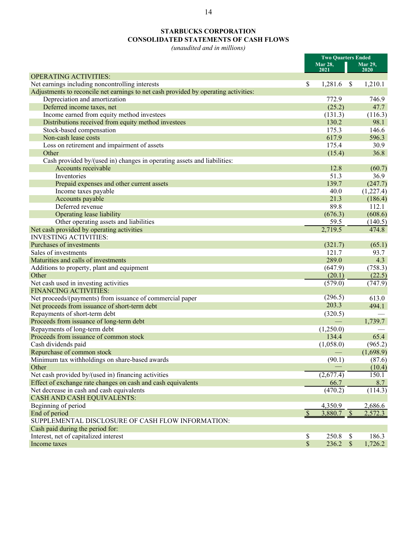# **STARBUCKS CORPORATION CONSOLIDATED STATEMENTS OF CASH FLOWS**

*(unaudited and in millions)*

|                                                                                     |               | <b>Two Quarters Ended</b> |               |                 |
|-------------------------------------------------------------------------------------|---------------|---------------------------|---------------|-----------------|
|                                                                                     |               | Mar 28,<br>2021           |               | <b>Mar 29,</b>  |
| <b>OPERATING ACTIVITIES:</b>                                                        |               |                           |               | 2020            |
| Net earnings including noncontrolling interests                                     | \$            | 1,281.6                   | <sup>\$</sup> | 1,210.1         |
| Adjustments to reconcile net earnings to net cash provided by operating activities: |               |                           |               |                 |
| Depreciation and amortization                                                       |               | 772.9                     |               | 746.9           |
| Deferred income taxes, net                                                          |               | (25.2)                    |               | 47.7            |
| Income earned from equity method investees                                          |               | (131.3)                   |               | (116.3)         |
| Distributions received from equity method investees                                 |               | 130.2                     |               | 98.1            |
| Stock-based compensation                                                            |               | 175.3                     |               | 146.6           |
| Non-cash lease costs                                                                |               | 617.9                     |               | 596.3           |
|                                                                                     |               | 175.4                     |               | 30.9            |
| Loss on retirement and impairment of assets                                         |               |                           |               |                 |
| Other                                                                               |               | (15.4)                    |               | 36.8            |
| Cash provided by/(used in) changes in operating assets and liabilities:             |               |                           |               |                 |
| Accounts receivable                                                                 |               | 12.8                      |               | (60.7)          |
| Inventories                                                                         |               | 51.3                      |               | 36.9            |
| Prepaid expenses and other current assets                                           |               | 139.7                     |               | (247.7)         |
| Income taxes payable                                                                |               | 40.0                      |               | (1,227.4)       |
| Accounts payable                                                                    |               | 21.3                      |               | (186.4)         |
| Deferred revenue                                                                    |               | 89.8                      |               | 112.1           |
| Operating lease liability                                                           |               | (676.3)                   |               | (608.6)         |
| Other operating assets and liabilities                                              |               | 59.5                      |               | (140.5)         |
| Net cash provided by operating activities                                           |               | 2,719.5                   |               | 474.8           |
| <b>INVESTING ACTIVITIES:</b>                                                        |               |                           |               |                 |
| Purchases of investments                                                            |               | (321.7)                   |               | (65.1)          |
| Sales of investments                                                                |               | 121.7                     |               | 93.7            |
| Maturities and calls of investments                                                 |               | 289.0                     |               | 4.3             |
| Additions to property, plant and equipment                                          |               | (647.9)                   |               | (758.3)         |
| Other                                                                               |               | (20.1)                    |               | (22.5)          |
| Net cash used in investing activities                                               |               | (579.0)                   |               | (747.9)         |
| <b>FINANCING ACTIVITIES:</b>                                                        |               |                           |               |                 |
| Net proceeds/(payments) from issuance of commercial paper                           |               | (296.5)                   |               | 613.0           |
| Net proceeds from issuance of short-term debt                                       |               | 203.3                     |               | 494.1           |
| Repayments of short-term debt                                                       |               | (320.5)                   |               |                 |
| Proceeds from issuance of long-term debt                                            |               |                           |               | 1,739.7         |
| Repayments of long-term debt                                                        |               | (1,250.0)                 |               |                 |
| Proceeds from issuance of common stock                                              |               | 134.4                     |               | 65.4            |
| Cash dividends paid                                                                 |               | (1,058.0)                 |               | (965.2)         |
| Repurchase of common stock                                                          |               |                           |               | (1,698.9)       |
| Minimum tax withholdings on share-based awards                                      |               | (90.1)                    |               | (87.6)          |
| Other                                                                               |               |                           |               |                 |
| Net cash provided by/(used in) financing activities                                 |               | $(2,\overline{677.4})$    |               | (10.4)<br>150.1 |
|                                                                                     |               |                           |               |                 |
| Effect of exchange rate changes on cash and cash equivalents                        |               | 66.7                      |               | 8.7             |
| Net decrease in cash and cash equivalents                                           |               | (470.2)                   |               | (114.3)         |
| <b>CASH AND CASH EQUIVALENTS:</b>                                                   |               |                           |               |                 |
| Beginning of period                                                                 |               | 4,350.9                   |               | 2,686.6         |
| End of period                                                                       | $\mathcal{S}$ | $3,880.7$ \$              |               | 2,572.3         |
| SUPPLEMENTAL DISCLOSURE OF CASH FLOW INFORMATION:                                   |               |                           |               |                 |
| Cash paid during the period for:                                                    |               |                           |               |                 |
| Interest, net of capitalized interest                                               | \$            | 250.8                     | \$            | 186.3           |
| Income taxes                                                                        | $\mathbb{S}$  | $236.2$ \$                |               | 1,726.2         |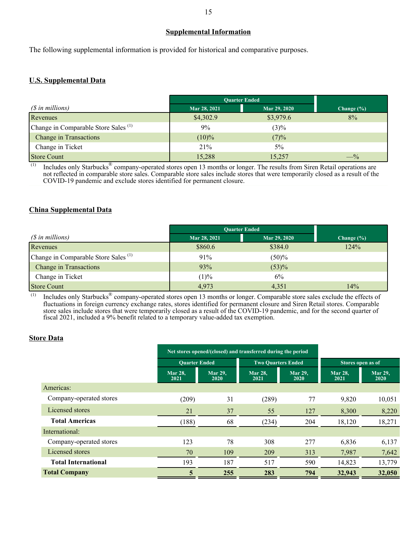### **Supplemental Information**

The following supplemental information is provided for historical and comparative purposes.

### **U.S. Supplemental Data**

|                                                 | <b>Ouarter Ended</b> |              |                |
|-------------------------------------------------|----------------------|--------------|----------------|
| $(S$ in millions)                               | Mar 28, 2021         | Mar 29, 2020 | Change $(\% )$ |
| Revenues                                        | \$4,302.9            | \$3,979.6    | 8%             |
| Change in Comparable Store Sales <sup>(1)</sup> | 9%                   | $(3)\%$      |                |
| Change in Transactions                          | $(10)\%$             | (7)%         |                |
| Change in Ticket                                | 21%                  | $5\%$        |                |
| Store Count                                     | 15,288               | 15,257       | $-$ %          |

 $^{(1)}$  Includes only Starbucks<sup>®</sup> company-operated stores open 13 months or longer. The results from Siren Retail operations are not reflected in comparable store sales. Comparable store sales include stores that were temporarily closed as a result of the COVID-19 pandemic and exclude stores identified for permanent closure.

### **China Supplemental Data**

|                                                 | <b>Quarter Ended</b> |              |                |
|-------------------------------------------------|----------------------|--------------|----------------|
| (\$ in millions)                                | Mar 28, 2021         | Mar 29, 2020 | Change $(\% )$ |
| Revenues                                        | \$860.6              | \$384.0      | 124%           |
| Change in Comparable Store Sales <sup>(1)</sup> | 91%                  | (50)%        |                |
| <b>Change in Transactions</b>                   | 93%                  | (53)%        |                |
| Change in Ticket                                | (1)%                 | 6%           |                |
| Store Count                                     | 4,973                | 4,351        | 14%            |

 $^{(1)}$  Includes only Starbucks<sup>®</sup> company-operated stores open 13 months or longer. Comparable store sales exclude the effects of fluctuations in foreign currency exchange rates, stores identified for permanent closure and Siren Retail stores. Comparable store sales include stores that were temporarily closed as a result of the COVID-19 pandemic, and for the second quarter of fiscal 2021, included a 9% benefit related to a temporary value-added tax exemption.

### **Store Data**

|                            |                        | Net stores opened/(closed) and transferred during the period |                           |                        |                        |                        |
|----------------------------|------------------------|--------------------------------------------------------------|---------------------------|------------------------|------------------------|------------------------|
|                            | <b>Ouarter Ended</b>   |                                                              | <b>Two Ouarters Ended</b> |                        | Stores open as of      |                        |
|                            | <b>Mar 28.</b><br>2021 | <b>Mar 29.</b><br><b>2020</b>                                | <b>Mar 28.</b><br>2021    | <b>Mar 29.</b><br>2020 | <b>Mar 28.</b><br>2021 | <b>Mar 29,</b><br>2020 |
| Americas:                  |                        |                                                              |                           |                        |                        |                        |
| Company-operated stores    | (209)                  | 31                                                           | (289)                     | 77                     | 9,820                  | 10,051                 |
| Licensed stores            | 21                     | 37                                                           | 55                        | 127                    | 8,300                  | 8,220                  |
| <b>Total Americas</b>      | (188)                  | 68                                                           | (234)                     | 204                    | 18,120                 | 18,271                 |
| International:             |                        |                                                              |                           |                        |                        |                        |
| Company-operated stores    | 123                    | 78                                                           | 308                       | 277                    | 6,836                  | 6,137                  |
| Licensed stores            | 70                     | 109                                                          | 209                       | 313                    | 7,987                  | 7,642                  |
| <b>Total International</b> | 193                    | 187                                                          | 517                       | 590                    | 14,823                 | 13,779                 |
| <b>Total Company</b>       | 5                      | 255                                                          | 283                       | 794                    | 32,943                 | 32,050                 |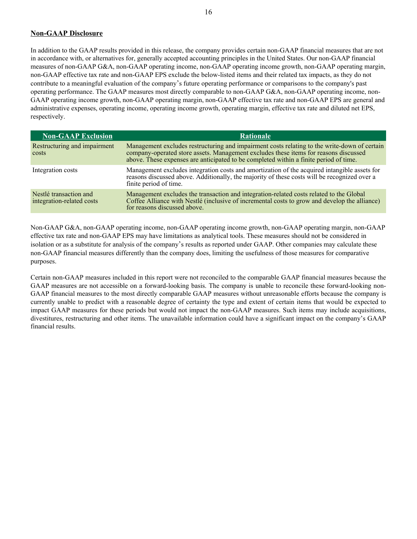#### **Non-GAAP Disclosure**

In addition to the GAAP results provided in this release, the company provides certain non-GAAP financial measures that are not in accordance with, or alternatives for, generally accepted accounting principles in the United States. Our non-GAAP financial measures of non-GAAP G&A, non-GAAP operating income, non-GAAP operating income growth, non-GAAP operating margin, non-GAAP effective tax rate and non-GAAP EPS exclude the below-listed items and their related tax impacts, as they do not contribute to a meaningful evaluation of the company's future operating performance or comparisons to the company's past operating performance. The GAAP measures most directly comparable to non-GAAP G&A, non-GAAP operating income, non-GAAP operating income growth, non-GAAP operating margin, non-GAAP effective tax rate and non-GAAP EPS are general and administrative expenses, operating income, operating income growth, operating margin, effective tax rate and diluted net EPS, respectively.

| <b>Non-GAAP Exclusion</b>                           | <b>Rationale</b>                                                                                                                                                                                                                                                              |
|-----------------------------------------------------|-------------------------------------------------------------------------------------------------------------------------------------------------------------------------------------------------------------------------------------------------------------------------------|
| Restructuring and impairment<br>costs               | Management excludes restructuring and impairment costs relating to the write-down of certain<br>company-operated store assets. Management excludes these items for reasons discussed<br>above. These expenses are anticipated to be completed within a finite period of time. |
| Integration costs                                   | Management excludes integration costs and amortization of the acquired intangible assets for<br>reasons discussed above. Additionally, the majority of these costs will be recognized over a<br>finite period of time.                                                        |
| Nestlé transaction and<br>integration-related costs | Management excludes the transaction and integration-related costs related to the Global<br>Coffee Alliance with Nestlé (inclusive of incremental costs to grow and develop the alliance)<br>for reasons discussed above.                                                      |

Non-GAAP G&A, non-GAAP operating income, non-GAAP operating income growth, non-GAAP operating margin, non-GAAP effective tax rate and non-GAAP EPS may have limitations as analytical tools. These measures should not be considered in isolation or as a substitute for analysis of the company's results as reported under GAAP. Other companies may calculate these non-GAAP financial measures differently than the company does, limiting the usefulness of those measures for comparative purposes.

Certain non-GAAP measures included in this report were not reconciled to the comparable GAAP financial measures because the GAAP measures are not accessible on a forward-looking basis. The company is unable to reconcile these forward-looking non-GAAP financial measures to the most directly comparable GAAP measures without unreasonable efforts because the company is currently unable to predict with a reasonable degree of certainty the type and extent of certain items that would be expected to impact GAAP measures for these periods but would not impact the non-GAAP measures. Such items may include acquisitions, divestitures, restructuring and other items. The unavailable information could have a significant impact on the company's GAAP financial results.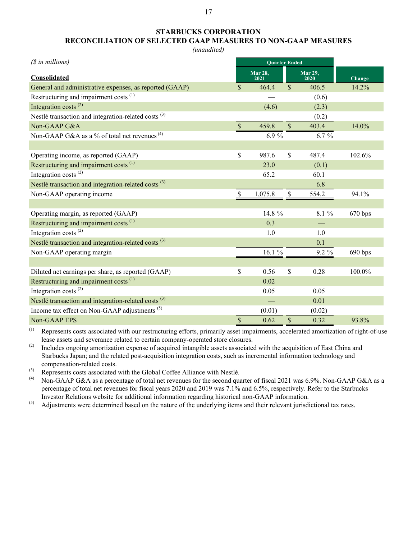## **STARBUCKS CORPORATION RECONCILIATION OF SELECTED GAAP MEASURES TO NON-GAAP MEASURES**

*(unaudited)*

| $(S$ in millions)                                               | <b>Quarter Ended</b> |                        |                    |                        |         |
|-----------------------------------------------------------------|----------------------|------------------------|--------------------|------------------------|---------|
| Consolidated                                                    |                      | <b>Mar 28,</b><br>2021 |                    | <b>Mar 29,</b><br>2020 | Change  |
| General and administrative expenses, as reported (GAAP)         | \$                   | 464.4                  | $\mathcal{S}$      | 406.5                  | 14.2%   |
| Restructuring and impairment costs <sup>(1)</sup>               |                      |                        |                    | (0.6)                  |         |
| Integration costs <sup>(2)</sup>                                |                      | (4.6)                  |                    | (2.3)                  |         |
| Nestlé transaction and integration-related costs <sup>(3)</sup> |                      |                        |                    | (0.2)                  |         |
| Non-GAAP G&A                                                    | $\mathbb{S}$         | 459.8                  | $\mathbb{S}$       | 403.4                  | 14.0%   |
| Non-GAAP G&A as a % of total net revenues $(4)$                 |                      | 6.9%                   |                    | $6.7 \%$               |         |
|                                                                 |                      |                        |                    |                        |         |
| Operating income, as reported (GAAP)                            | \$                   | 987.6                  | $\mathbf{\hat{S}}$ | 487.4                  | 102.6%  |
| Restructuring and impairment costs <sup>(1)</sup>               |                      | 23.0                   |                    | (0.1)                  |         |
| Integration costs <sup>(2)</sup>                                |                      | 65.2                   |                    | 60.1                   |         |
| Nestlé transaction and integration-related costs <sup>(3)</sup> |                      |                        |                    | 6.8                    |         |
| Non-GAAP operating income                                       | \$                   | 1,075.8                | $\mathcal{S}$      | 554.2                  | 94.1%   |
|                                                                 |                      |                        |                    |                        |         |
| Operating margin, as reported (GAAP)                            |                      | 14.8 %                 |                    | 8.1 %                  | 670 bps |
| Restructuring and impairment costs <sup>(1)</sup>               |                      | 0.3                    |                    |                        |         |
| Integration costs $^{(2)}$                                      |                      | 1.0                    |                    | 1.0                    |         |
| Nestlé transaction and integration-related costs <sup>(3)</sup> |                      |                        |                    | 0.1                    |         |
| Non-GAAP operating margin                                       |                      | 16.1 %                 |                    | 9.2 %                  | 690 bps |
|                                                                 |                      |                        |                    |                        |         |
| Diluted net earnings per share, as reported (GAAP)              | \$                   | 0.56                   | $\mathbf{\hat{S}}$ | 0.28                   | 100.0%  |
| Restructuring and impairment costs <sup>(1)</sup>               |                      | 0.02                   |                    |                        |         |
| Integration costs $(2)$                                         |                      | 0.05                   |                    | 0.05                   |         |
| Nestlé transaction and integration-related costs <sup>(3)</sup> |                      |                        |                    | 0.01                   |         |
| Income tax effect on Non-GAAP adjustments <sup>(5)</sup>        |                      | (0.01)                 |                    | (0.02)                 |         |
| Non-GAAP EPS                                                    | $\$$                 | 0.62                   | $\sqrt{\ }$        | 0.32                   | 93.8%   |

(1) Represents costs associated with our restructuring efforts, primarily asset impairments, accelerated amortization of right-of-use lease assets and severance related to certain company-operated store closures.

(2) Includes ongoing amortization expense of acquired intangible assets associated with the acquisition of East China and Starbucks Japan; and the related post-acquisition integration costs, such as incremental information technology and compensation-related costs.

(3) Represents costs associated with the Global Coffee Alliance with Nestlé.<br>(4) Non-GAAP G&A as a percentage of total net revenues for the second guy

Non-GAAP G&A as a percentage of total net revenues for the second quarter of fiscal 2021 was 6.9%. Non-GAAP G&A as a percentage of total net revenues for fiscal years 2020 and 2019 was 7.1% and 6.5%, respectively. Refer to the Starbucks Investor Relations website for additional information regarding historical non-GAAP information.

 $^{(5)}$  Adjustments were determined based on the nature of the underlying items and their relevant jurisdictional tax rates.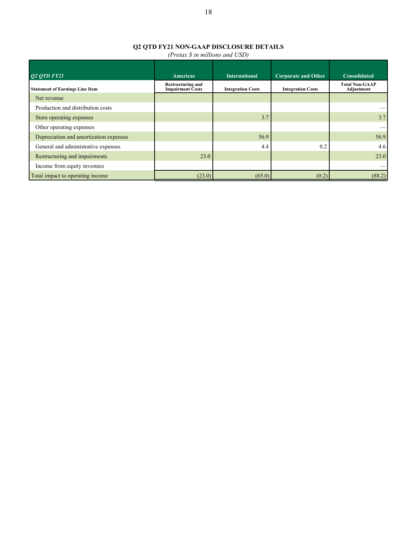# **Q2 QTD FY21 NON-GAAP DISCLOSURE DETAILS**

*(Pretax \$ in millions and USD)*

| $Q2$ <i>OTD FY21</i>                   | <b>Americas</b>                                     | <b>International</b>     | <b>Corporate and Other</b> | <b>Consolidated</b>                 |
|----------------------------------------|-----------------------------------------------------|--------------------------|----------------------------|-------------------------------------|
| <b>Statement of Earnings Line Item</b> | <b>Restructuring and</b><br><b>Impairment Costs</b> | <b>Integration Costs</b> | <b>Integration Costs</b>   | <b>Total Non-GAAP</b><br>Adjustment |
| Net revenue                            |                                                     |                          |                            |                                     |
| Production and distribution costs      |                                                     |                          |                            |                                     |
| Store operating expenses               |                                                     | 3.7                      |                            | 3.7                                 |
| Other operating expenses               |                                                     |                          |                            |                                     |
| Depreciation and amortization expenses |                                                     | 56.9                     |                            | 56.9                                |
| General and administrative expenses    |                                                     | 4.4                      | 0.2                        | 4.6                                 |
| Restructuring and impairments          | 23.0                                                |                          |                            | 23.0                                |
| Income from equity investees           |                                                     |                          |                            |                                     |
| Total impact to operating income       | (23.0)                                              | (65.0)                   | (0.2)                      | (88.2)                              |